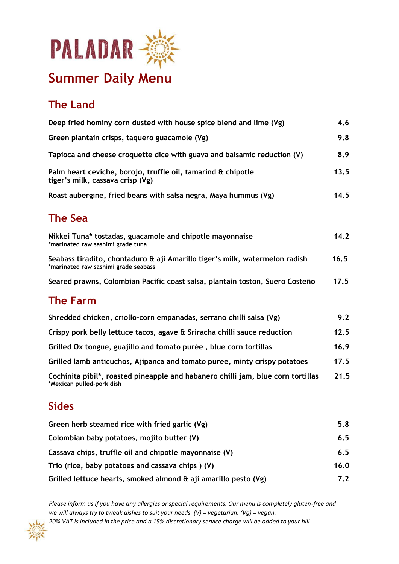

# **Summer Daily Menu**

## **The Land**

| Deep fried hominy corn dusted with house spice blend and lime (Vg)                                                  | 4.6  |
|---------------------------------------------------------------------------------------------------------------------|------|
| Green plantain crisps, taquero guacamole (Vg)                                                                       | 9.8  |
| Tapioca and cheese croquette dice with guava and balsamic reduction (V)                                             | 8.9  |
| Palm heart ceviche, borojo, truffle oil, tamarind & chipotle<br>tiger's milk, cassava crisp (Vg)                    | 13.5 |
| Roast aubergine, fried beans with salsa negra, Maya hummus (Vg)                                                     | 14.5 |
| <b>The Sea</b>                                                                                                      |      |
| Nikkei Tuna* tostadas, guacamole and chipotle mayonnaise<br>*marinated raw sashimi grade tuna                       | 14.2 |
| Seabass tiradito, chontaduro & aji Amarillo tiger's milk, watermelon radish<br>*marinated raw sashimi grade seabass | 16.5 |
| Seared prawns, Colombian Pacific coast salsa, plantain toston, Suero Costeño                                        | 17.5 |
| <b>The Farm</b>                                                                                                     |      |
| Shredded chicken, criollo-corn empanadas, serrano chilli salsa (Vg)                                                 | 9.2  |
| Crispy pork belly lettuce tacos, agave & Sriracha chilli sauce reduction                                            | 12.5 |
| Grilled Ox tongue, guajillo and tomato purée, blue corn tortillas                                                   | 16.9 |
| Grilled lamb anticuchos, Ajipanca and tomato puree, minty crispy potatoes                                           | 17.5 |
| Cochinita pibil*, roasted pineapple and habanero chilli jam, blue corn tortillas<br>*Mexican pulled-pork dish       | 21.5 |
| <b>Sides</b>                                                                                                        |      |
| Green herb steamed rice with fried garlic (Vg)                                                                      | 5.8  |
|                                                                                                                     |      |

| J.O  |
|------|
| 6.5  |
| 6.5  |
| 16.0 |
| 7.2  |
|      |

*Please inform us if you have any allergies or special requirements. Our menu is completely gluten-free and we will always try to tweak dishes to suit your needs. (V) = vegetarian, (Vg) = vegan. 20% VAT is included in the price and a 15% discretionary service charge will be added to your bill*